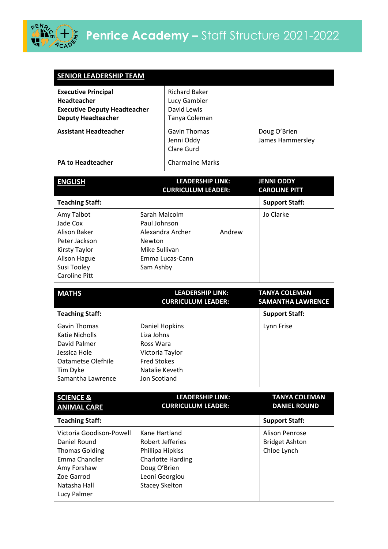

Amy Forshaw Zoe Garrod Natasha Hall Lucy Palmer

| <b>SENIOR LEADERSHIP TEAM</b>                                                                                                                 |                                                                                                                             |                                                                      |                                                               |
|-----------------------------------------------------------------------------------------------------------------------------------------------|-----------------------------------------------------------------------------------------------------------------------------|----------------------------------------------------------------------|---------------------------------------------------------------|
| <b>Executive Principal</b><br><b>Headteacher</b><br><b>Executive Deputy Headteacher</b><br><b>Deputy Headteacher</b>                          |                                                                                                                             | <b>Richard Baker</b><br>Lucy Gambier<br>David Lewis<br>Tanya Coleman |                                                               |
| <b>Assistant Headteacher</b>                                                                                                                  |                                                                                                                             | <b>Gavin Thomas</b><br>Jenni Oddy<br>Clare Gurd                      | Doug O'Brien<br>James Hammersley                              |
| <b>PA to Headteacher</b>                                                                                                                      |                                                                                                                             | <b>Charmaine Marks</b>                                               |                                                               |
| <b>ENGLISH</b>                                                                                                                                |                                                                                                                             | <b>LEADERSHIP LINK:</b><br><b>CURRICULUM LEADER:</b>                 | <b>JENNI ODDY</b><br><b>CAROLINE PITT</b>                     |
|                                                                                                                                               |                                                                                                                             |                                                                      |                                                               |
| <b>Teaching Staff:</b>                                                                                                                        |                                                                                                                             |                                                                      | <b>Support Staff:</b>                                         |
| Amy Talbot<br>Jade Cox<br><b>Alison Baker</b><br>Peter Jackson<br><b>Kirsty Taylor</b><br>Alison Hague<br>Susi Tooley<br><b>Caroline Pitt</b> | Sarah Malcolm<br>Paul Johnson<br><b>Newton</b><br>Mike Sullivan<br>Sam Ashby                                                | Alexandra Archer<br>Andrew<br>Emma Lucas-Cann                        | Jo Clarke                                                     |
|                                                                                                                                               |                                                                                                                             |                                                                      |                                                               |
| <b>MATHS</b>                                                                                                                                  |                                                                                                                             | <b>LEADERSHIP LINK:</b><br><b>CURRICULUM LEADER:</b>                 | <b>TANYA COLEMAN</b><br><b>SAMANTHA LAWRENCE</b>              |
| <b>Teaching Staff:</b>                                                                                                                        |                                                                                                                             |                                                                      | <b>Support Staff:</b>                                         |
| <b>Gavin Thomas</b><br><b>Katie Nicholls</b><br>David Palmer<br>Jessica Hole<br><b>Oatametse Olefhile</b><br>Tim Dyke<br>Samantha Lawrence    | <b>Daniel Hopkins</b><br>Liza Johns<br>Ross Wara<br>Victoria Taylor<br><b>Fred Stokes</b><br>Natalie Keveth<br>Jon Scotland |                                                                      | Lynn Frise                                                    |
| <b>SCIENCE &amp;</b>                                                                                                                          |                                                                                                                             | <b>LEADERSHIP LINK:</b>                                              | <b>TANYA COLEMAN</b>                                          |
| <b>ANIMAL CARE</b>                                                                                                                            |                                                                                                                             | <b>CURRICULUM LEADER:</b>                                            | <b>DANIEL ROUND</b>                                           |
| <b>Teaching Staff:</b>                                                                                                                        |                                                                                                                             |                                                                      | <b>Support Staff:</b>                                         |
| Victoria Goodison-Powell<br>Daniel Round<br><b>Thomas Golding</b><br>Emma Chandler                                                            | Kane Hartland<br><b>Robert Jefferies</b><br>Phillipa Hipkiss                                                                | <b>Charlotte Harding</b>                                             | <b>Alison Penrose</b><br><b>Bridget Ashton</b><br>Chloe Lynch |

Doug O'Brien Leoni Georgiou Stacey Skelton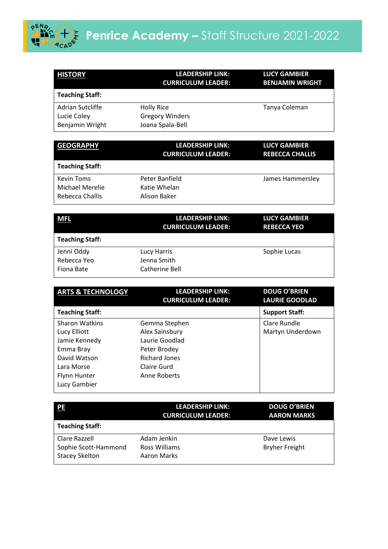

| <b>HISTORY</b>                                     | LEADERSHIP LINK:<br><b>CURRICULUM LEADER:</b>                   | <b>LUCY GAMBIER</b><br><b>BENJAMIN WRIGHT</b> |
|----------------------------------------------------|-----------------------------------------------------------------|-----------------------------------------------|
| <b>Teaching Staff:</b>                             |                                                                 |                                               |
| Adrian Sutcliffe<br>Lucie Coley<br>Benjamin Wright | <b>Holly Rice</b><br><b>Gregory Winders</b><br>Joana Spala-Bell | Tanya Coleman                                 |

| <b>GEOGRAPHY</b>                                        | <b>LEADERSHIP LINK:</b><br><b>CURRICULUM LEADER:</b> | <b>LUCY GAMBIER</b><br><b>REBECCA CHALLIS</b> |
|---------------------------------------------------------|------------------------------------------------------|-----------------------------------------------|
| <b>Teaching Staff:</b>                                  |                                                      |                                               |
| <b>Kevin Toms</b><br>Michael Merelie<br>Rebecca Challis | Peter Banfield<br>Katie Whelan<br>Alison Baker       | James Hammersley                              |

| <b>MFL</b>                              | LEADERSHIP LINK:<br><b>CURRICULUM LEADER:</b> | <b>LUCY GAMBIER</b><br><b>REBECCA YEO</b> |
|-----------------------------------------|-----------------------------------------------|-------------------------------------------|
| <b>Teaching Staff:</b>                  |                                               |                                           |
| Jenni Oddy<br>Rebecca Yeo<br>Fiona Bate | Lucy Harris<br>Jenna Smith<br>Catherine Bell  | Sophie Lucas                              |

| <b>ARTS &amp; TECHNOLOGY</b> | <b>LEADERSHIP LINK:</b><br><b>CURRICULUM LEADER:</b> | <b>DOUG O'BRIEN</b><br><b>LAURIE GOODLAD</b> |
|------------------------------|------------------------------------------------------|----------------------------------------------|
| <b>Teaching Staff:</b>       |                                                      | <b>Support Staff:</b>                        |
| <b>Sharon Watkins</b>        | Gemma Stephen                                        | Clare Rundle                                 |
| Lucy Elliott                 | Alex Sainsbury                                       | Martyn Underdown                             |
| Jamie Kennedy                | Laurie Goodlad                                       |                                              |
| Emma Bray                    | Peter Brodey                                         |                                              |
| David Watson                 | Richard Jones                                        |                                              |
| Lara Morse                   | Claire Gurd                                          |                                              |
| <b>Flynn Hunter</b>          | Anne Roberts                                         |                                              |
| Lucy Gambier                 |                                                      |                                              |

| PE                                                             | <b>LEADERSHIP LINK:</b><br><b>CURRICULUM LEADER:</b> | <b>DOUG O'BRIEN</b><br><b>AARON MARKS</b> |
|----------------------------------------------------------------|------------------------------------------------------|-------------------------------------------|
| <b>Teaching Staff:</b>                                         |                                                      |                                           |
| Clare Razzell<br>Sophie Scott-Hammond<br><b>Stacey Skelton</b> | Adam Jenkin<br>Ross Williams<br>Aaron Marks          | Dave Lewis<br><b>Bryher Freight</b>       |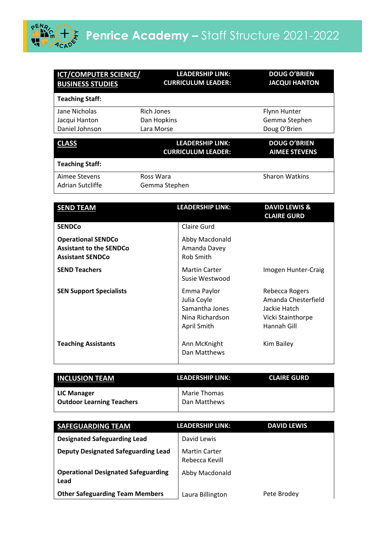

| <b>ICT/COMPUTER SCIENCE/</b><br><b>BUSINESS STUDIES</b> | <b>LEADERSHIP LINK:</b><br><b>CURRICULUM LEADER:</b> | <b>DOUG O'BRIEN</b><br><b>JACQUI HANTON</b> |
|---------------------------------------------------------|------------------------------------------------------|---------------------------------------------|
| <b>Teaching Staff:</b>                                  |                                                      |                                             |
| Jane Nicholas                                           | Rich Jones                                           | <b>Flynn Hunter</b>                         |
| Jacqui Hanton                                           | Dan Hopkins                                          | Gemma Stephen                               |
| Daniel Johnson                                          | Lara Morse                                           | Doug O'Brien                                |
|                                                         |                                                      |                                             |
| <b>CLASS</b>                                            | <b>LEADERSHIP LINK:</b><br><b>CURRICULUM LEADER:</b> | <b>DOUG O'BRIEN</b><br><b>AIMEE STEVENS</b> |
| <b>Teaching Staff:</b>                                  |                                                      |                                             |
| Aimee Stevens                                           | Ross Wara                                            | <b>Sharon Watkins</b>                       |
| Adrian Sutcliffe                                        | Gemma Stephen                                        |                                             |
|                                                         |                                                      |                                             |
| <b>SEND TEAM</b>                                        | <b>LEADERSHIP LINK:</b>                              | <b>DAVID LEWIS &amp;</b>                    |
|                                                         |                                                      | <b>CLAIRE GURD</b>                          |

|                                                                                        |                                                                                | <b>CLAIRE GURD</b>                                                                        |
|----------------------------------------------------------------------------------------|--------------------------------------------------------------------------------|-------------------------------------------------------------------------------------------|
| <b>SENDCo</b>                                                                          | Claire Gurd                                                                    |                                                                                           |
| <b>Operational SENDCo</b><br><b>Assistant to the SENDCo</b><br><b>Assistant SENDCo</b> | Abby Macdonald<br>Amanda Davey<br>Rob Smith                                    |                                                                                           |
| <b>SEND Teachers</b>                                                                   | <b>Martin Carter</b><br>Susie Westwood                                         | Imogen Hunter-Craig                                                                       |
| <b>SEN Support Specialists</b>                                                         | Emma Paylor<br>Julia Coyle<br>Samantha Jones<br>Nina Richardson<br>April Smith | Rebecca Rogers<br>Amanda Chesterfield<br>Jackie Hatch<br>Vicki Stainthorpe<br>Hannah Gill |
| <b>Teaching Assistants</b>                                                             | Ann McKnight<br>Dan Matthews                                                   | Kim Bailey                                                                                |

| <b>INCLUSION TEAM</b>                      | <b>LEADERSHIP LINK:</b>      | <b>CLAIRE GURD</b> |
|--------------------------------------------|------------------------------|--------------------|
| LIC Manager<br>  Outdoor Learning Teachers | Marie Thomas<br>Dan Matthews |                    |

| <b>SAFEGUARDING TEAM</b>                           | LEADERSHIP LINK:                       | <b>DAVID LEWIS</b> |
|----------------------------------------------------|----------------------------------------|--------------------|
| <b>Designated Safeguarding Lead</b>                | David Lewis                            |                    |
| <b>Deputy Designated Safeguarding Lead</b>         | <b>Martin Carter</b><br>Rebecca Kevill |                    |
| <b>Operational Designated Safeguarding</b><br>Lead | Abby Macdonald                         |                    |
| <b>Other Safeguarding Team Members</b>             | Laura Billington                       | Pete Brodey        |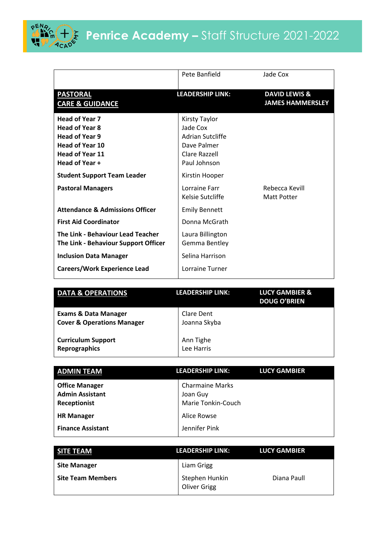

## Penrice Academy – Staff Structure 2021-2022

|                                                                                                                                               | Pete Banfield                                                                                        | Jade Cox                                            |
|-----------------------------------------------------------------------------------------------------------------------------------------------|------------------------------------------------------------------------------------------------------|-----------------------------------------------------|
| <b>PASTORAL</b><br><b>CARE &amp; GUIDANCE</b>                                                                                                 | <b>LEADERSHIP LINK:</b>                                                                              | <b>DAVID LEWIS &amp;</b><br><b>JAMES HAMMERSLEY</b> |
| <b>Head of Year 7</b><br><b>Head of Year 8</b><br><b>Head of Year 9</b><br><b>Head of Year 10</b><br><b>Head of Year 11</b><br>Head of Year + | Kirsty Taylor<br>Jade Cox<br><b>Adrian Sutcliffe</b><br>Dave Palmer<br>Clare Razzell<br>Paul Johnson |                                                     |
| <b>Student Support Team Leader</b>                                                                                                            | Kirstin Hooper                                                                                       |                                                     |
| <b>Pastoral Managers</b>                                                                                                                      | Lorraine Farr<br>Kelsie Sutcliffe                                                                    | Rebecca Kevill<br>Matt Potter                       |
| <b>Attendance &amp; Admissions Officer</b>                                                                                                    | <b>Emily Bennett</b>                                                                                 |                                                     |
| <b>First Aid Coordinator</b>                                                                                                                  | Donna McGrath                                                                                        |                                                     |
| The Link - Behaviour Lead Teacher<br>The Link - Behaviour Support Officer                                                                     | Laura Billington<br>Gemma Bentley                                                                    |                                                     |
| <b>Inclusion Data Manager</b>                                                                                                                 | Selina Harrison                                                                                      |                                                     |
| <b>Careers/Work Experience Lead</b>                                                                                                           | Lorraine Turner                                                                                      |                                                     |

| <b>DATA &amp; OPERATIONS</b>                                             | LEADERSHIP LINK:           | <b>LUCY GAMBIER &amp;</b><br><b>DOUG O'BRIEN</b> |
|--------------------------------------------------------------------------|----------------------------|--------------------------------------------------|
| <b>Exams &amp; Data Manager</b><br><b>Cover &amp; Operations Manager</b> | Clare Dent<br>Joanna Skyba |                                                  |
| <b>Curriculum Support</b><br><b>Reprographics</b>                        | Ann Tighe<br>Lee Harris    |                                                  |

| <b>ADMIN TEAM</b>                                               | <b>LEADERSHIP LINK:</b>                                  | <b>LUCY GAMBIER</b> |
|-----------------------------------------------------------------|----------------------------------------------------------|---------------------|
| <b>Office Manager</b><br><b>Admin Assistant</b><br>Receptionist | <b>Charmaine Marks</b><br>Joan Guy<br>Marie Tonkin-Couch |                     |
| <b>HR Manager</b>                                               | Alice Rowse                                              |                     |
| <b>Finance Assistant</b>                                        | Jennifer Pink                                            |                     |

| <b>SITE TEAM</b>         | <b>LEADERSHIP LINK:</b>               | <b>LUCY GAMBIER</b> |
|--------------------------|---------------------------------------|---------------------|
| <b>Site Manager</b>      | Liam Grigg                            |                     |
| <b>Site Team Members</b> | Stephen Hunkin<br><b>Oliver Grigg</b> | Diana Paull         |